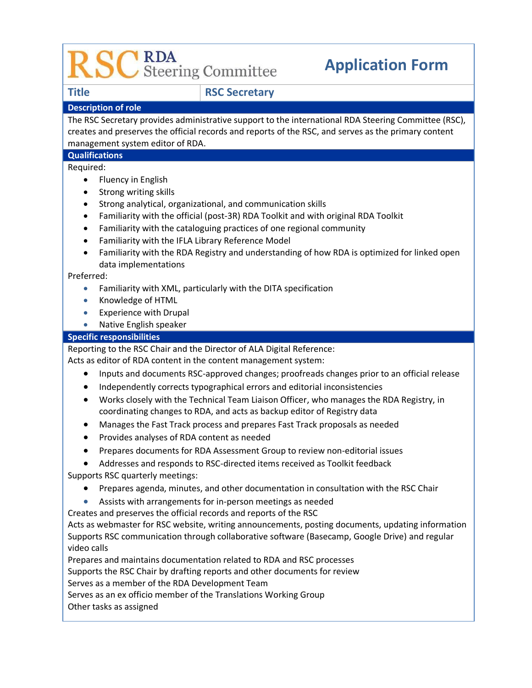# CRDA<br>CSteering Committee

## **Application Form**

### **Title RSC Secretary**

### **Description of role**

The RSC Secretary provides administrative support to the international RDA Steering Committee (RSC), creates and preserves the official records and reports of the RSC, and serves as the primary content management system editor of RDA.

### **Qualifications**

Required:

- Fluency in English
- Strong writing skills
- Strong analytical, organizational, and communication skills
- Familiarity with the official (post-3R) RDA Toolkit and with original RDA Toolkit
- Familiarity with the cataloguing practices of one regional community
- Familiarity with the IFLA Library Reference Model
- Familiarity with the RDA Registry and understanding of how RDA is optimized for linked open data implementations

Preferred:

- Familiarity with XML, particularly with the DITA specification
- Knowledge of HTML
- Experience with Drupal
- Native English speaker

### **Specific responsibilities**

Reporting to the RSC Chair and the Director of ALA Digital Reference:

Acts as editor of RDA content in the content management system:

- Inputs and documents RSC-approved changes; proofreads changes prior to an official release
- Independently corrects typographical errors and editorial inconsistencies
- Works closely with the Technical Team Liaison Officer, who manages the RDA Registry, in coordinating changes to RDA, and acts as backup editor of Registry data
- Manages the Fast Track process and prepares Fast Track proposals as needed
- Provides analyses of RDA content as needed
- Prepares documents for RDA Assessment Group to review non-editorial issues
- Addresses and responds to RSC-directed items received as Toolkit feedback

Supports RSC quarterly meetings:

- Prepares agenda, minutes, and other documentation in consultation with the RSC Chair
- Assists with arrangements for in-person meetings as needed

Creates and preserves the official records and reports of the RSC

Acts as webmaster for RSC website, writing announcements, posting documents, updating information Supports RSC communication through collaborative software (Basecamp, Google Drive) and regular video calls

Prepares and maintains documentation related to RDA and RSC processes

Supports the RSC Chair by drafting reports and other documents for review

Serves as a member of the RDA Development Team

Serves as an ex officio member of the Translations Working Group

Other tasks as assigned